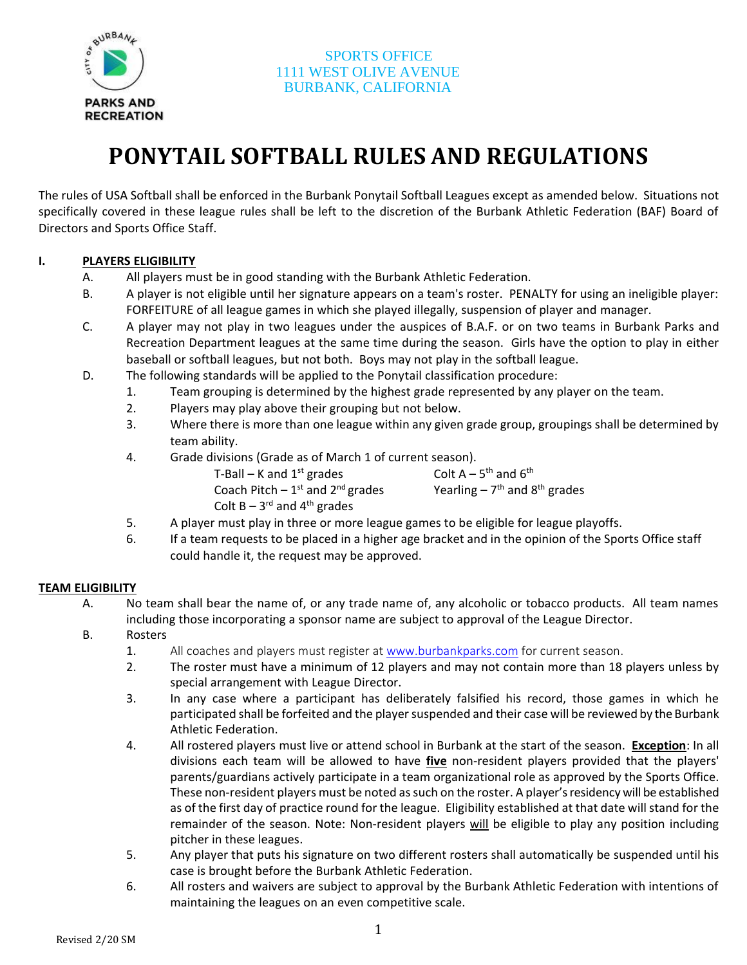

# **PONYTAIL SOFTBALL RULES AND REGULATIONS**

The rules of USA Softball shall be enforced in the Burbank Ponytail Softball Leagues except as amended below. Situations not specifically covered in these league rules shall be left to the discretion of the Burbank Athletic Federation (BAF) Board of Directors and Sports Office Staff.

#### **I. PLAYERS ELIGIBILITY**

- A. All players must be in good standing with the Burbank Athletic Federation.
- B. A player is not eligible until her signature appears on a team's roster. PENALTY for using an ineligible player: FORFEITURE of all league games in which she played illegally, suspension of player and manager.
- C. A player may not play in two leagues under the auspices of B.A.F. or on two teams in Burbank Parks and Recreation Department leagues at the same time during the season. Girls have the option to play in either baseball or softball leagues, but not both. Boys may not play in the softball league.
- D. The following standards will be applied to the Ponytail classification procedure:
	- 1. Team grouping is determined by the highest grade represented by any player on the team.
	- 2. Players may play above their grouping but not below.
	- 3. Where there is more than one league within any given grade group, groupings shall be determined by team ability.
	- 4. Grade divisions (Grade as of March 1 of current season).

T-Ball – K and  $1<sup>st</sup>$  grades Colt  $A - 5$ <sup>th</sup> and  $6$ <sup>th</sup> Coach Pitch  $-1<sup>st</sup>$  and 2 <sup>nd</sup> grades **Yearling** – 7<sup>th</sup> and 8<sup>th</sup> grades Colt  $B - 3^{rd}$  and  $4^{th}$  grades

- 5. A player must play in three or more league games to be eligible for league playoffs.
- 6. If a team requests to be placed in a higher age bracket and in the opinion of the Sports Office staff could handle it, the request may be approved.

#### **TEAM ELIGIBILITY**

- A. No team shall bear the name of, or any trade name of, any alcoholic or tobacco products. All team names including those incorporating a sponsor name are subject to approval of the League Director.
- B. Rosters
	- 1. All coaches and players must register at [www.burbankparks.com](http://www.burbankparks.com/) for current season.
	- 2. The roster must have a minimum of 12 players and may not contain more than 18 players unless by special arrangement with League Director.
	- 3. In any case where a participant has deliberately falsified his record, those games in which he participated shall be forfeited and the player suspended and their case will be reviewed by the Burbank Athletic Federation.
	- 4. All rostered players must live or attend school in Burbank at the start of the season. **Exception**: In all divisions each team will be allowed to have **five** non-resident players provided that the players' parents/guardians actively participate in a team organizational role as approved by the Sports Office. These non-resident players must be noted assuch on the roster. A player's residency will be established as of the first day of practice round for the league. Eligibility established at that date will stand for the remainder of the season. Note: Non-resident players will be eligible to play any position including pitcher in these leagues.
	- 5. Any player that puts his signature on two different rosters shall automatically be suspended until his case is brought before the Burbank Athletic Federation.
	- 6. All rosters and waivers are subject to approval by the Burbank Athletic Federation with intentions of maintaining the leagues on an even competitive scale.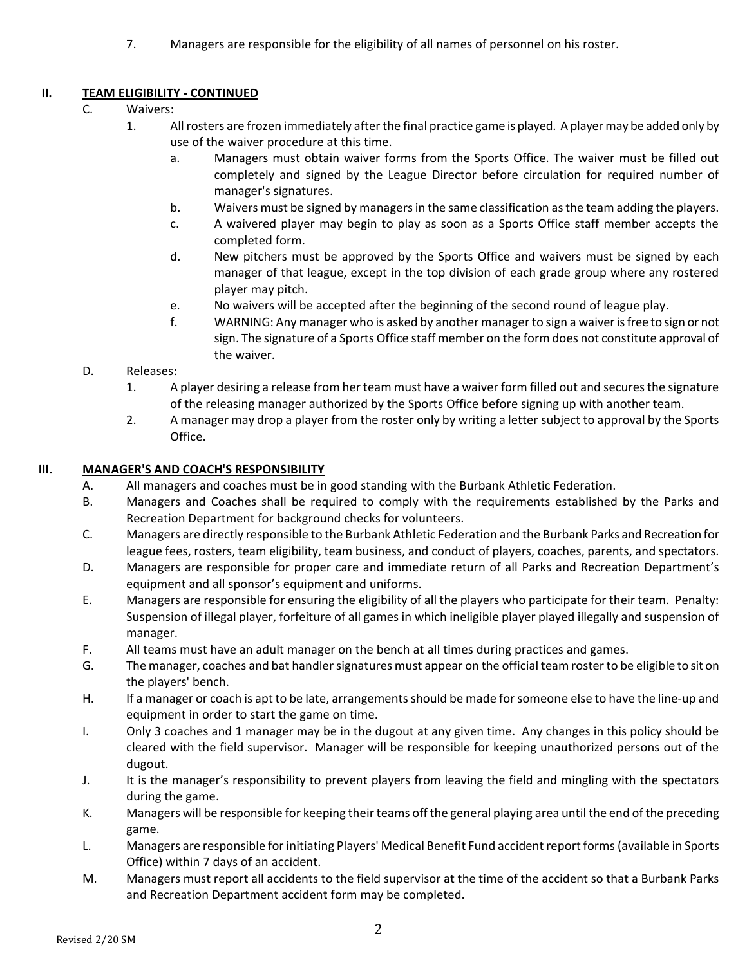7. Managers are responsible for the eligibility of all names of personnel on his roster.

# **II. TEAM ELIGIBILITY - CONTINUED**

- C. Waivers:
	- 1. All rosters are frozen immediately after the final practice game is played. A player may be added only by use of the waiver procedure at this time.
		- a. Managers must obtain waiver forms from the Sports Office. The waiver must be filled out completely and signed by the League Director before circulation for required number of manager's signatures.
		- b. Waivers must be signed by managers in the same classification as the team adding the players.
		- c. A waivered player may begin to play as soon as a Sports Office staff member accepts the completed form.
		- d. New pitchers must be approved by the Sports Office and waivers must be signed by each manager of that league, except in the top division of each grade group where any rostered player may pitch.
		- e. No waivers will be accepted after the beginning of the second round of league play.
		- f. WARNING: Any manager who is asked by another manager to sign a waiver is free to sign or not sign. The signature of a Sports Office staff member on the form does not constitute approval of the waiver.
- D. Releases:
	- 1. A player desiring a release from her team must have a waiver form filled out and securesthe signature of the releasing manager authorized by the Sports Office before signing up with another team.
	- 2. A manager may drop a player from the roster only by writing a letter subject to approval by the Sports Office.

# **III. MANAGER'S AND COACH'S RESPONSIBILITY**

- A. All managers and coaches must be in good standing with the Burbank Athletic Federation.
- B. Managers and Coaches shall be required to comply with the requirements established by the Parks and Recreation Department for background checks for volunteers.
- C. Managers are directly responsible to the Burbank Athletic Federation and the Burbank Parks and Recreation for league fees, rosters, team eligibility, team business, and conduct of players, coaches, parents, and spectators.
- D. Managers are responsible for proper care and immediate return of all Parks and Recreation Department's equipment and all sponsor's equipment and uniforms.
- E. Managers are responsible for ensuring the eligibility of all the players who participate for their team. Penalty: Suspension of illegal player, forfeiture of all games in which ineligible player played illegally and suspension of manager.
- F. All teams must have an adult manager on the bench at all times during practices and games.
- G. The manager, coaches and bat handler signatures must appear on the official team roster to be eligible to sit on the players' bench.
- H. If a manager or coach is apt to be late, arrangements should be made for someone else to have the line-up and equipment in order to start the game on time.
- I. Only 3 coaches and 1 manager may be in the dugout at any given time. Any changes in this policy should be cleared with the field supervisor. Manager will be responsible for keeping unauthorized persons out of the dugout.
- J. It is the manager's responsibility to prevent players from leaving the field and mingling with the spectators during the game.
- K. Managers will be responsible for keeping their teams off the general playing area until the end of the preceding game.
- L. Managers are responsible for initiating Players' Medical Benefit Fund accident report forms (available in Sports Office) within 7 days of an accident.
- M. Managers must report all accidents to the field supervisor at the time of the accident so that a Burbank Parks and Recreation Department accident form may be completed.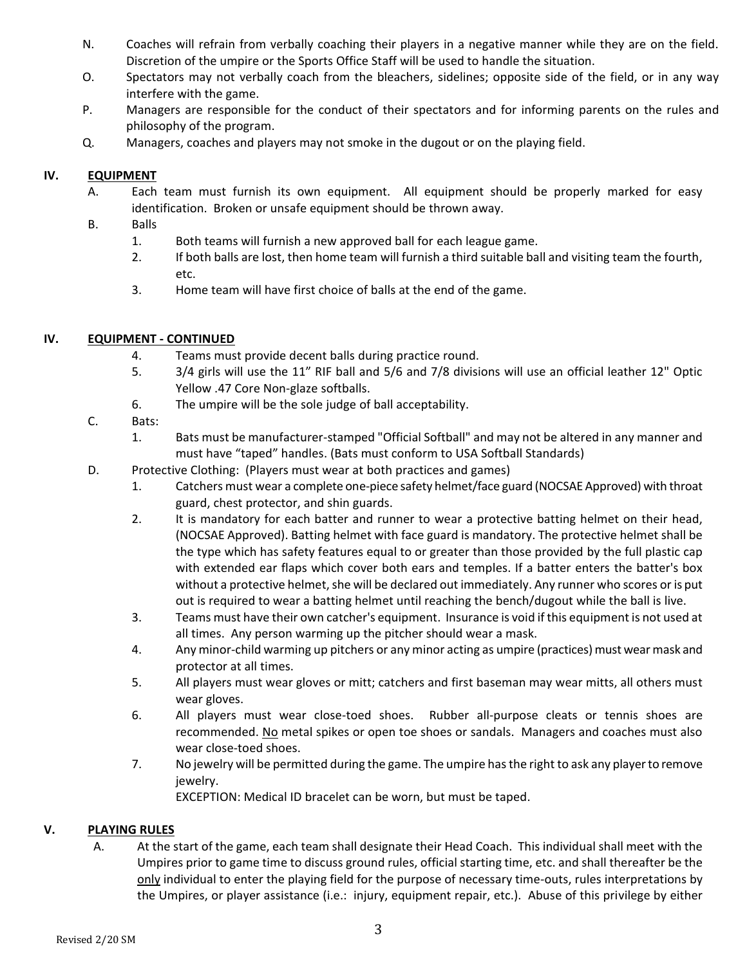- N. Coaches will refrain from verbally coaching their players in a negative manner while they are on the field. Discretion of the umpire or the Sports Office Staff will be used to handle the situation.
- O. Spectators may not verbally coach from the bleachers, sidelines; opposite side of the field, or in any way interfere with the game.
- P. Managers are responsible for the conduct of their spectators and for informing parents on the rules and philosophy of the program.
- Q. Managers, coaches and players may not smoke in the dugout or on the playing field.

#### **IV. EQUIPMENT**

- A. Each team must furnish its own equipment. All equipment should be properly marked for easy identification. Broken or unsafe equipment should be thrown away.
- B. Balls
	- 1. Both teams will furnish a new approved ball for each league game.
	- 2. If both balls are lost, then home team will furnish a third suitable ball and visiting team the fourth, etc.
	- 3. Home team will have first choice of balls at the end of the game.

#### **IV. EQUIPMENT - CONTINUED**

- 4. Teams must provide decent balls during practice round.
- 5. 3/4 girls will use the 11" RIF ball and 5/6 and 7/8 divisions will use an official leather 12" Optic Yellow .47 Core Non-glaze softballs.
- 6. The umpire will be the sole judge of ball acceptability.
- C. Bats:
	- 1. Bats must be manufacturer-stamped "Official Softball" and may not be altered in any manner and must have "taped" handles. (Bats must conform to USA Softball Standards)
- D. Protective Clothing: (Players must wear at both practices and games)
	- 1. Catchers must wear a complete one-piece safety helmet/face guard (NOCSAE Approved) with throat guard, chest protector, and shin guards.
	- 2. It is mandatory for each batter and runner to wear a protective batting helmet on their head, (NOCSAE Approved). Batting helmet with face guard is mandatory. The protective helmet shall be the type which has safety features equal to or greater than those provided by the full plastic cap with extended ear flaps which cover both ears and temples. If a batter enters the batter's box without a protective helmet, she will be declared out immediately. Any runner who scores or is put out is required to wear a batting helmet until reaching the bench/dugout while the ball is live.
	- 3. Teams must have their own catcher's equipment. Insurance is void if this equipment is not used at all times. Any person warming up the pitcher should wear a mask.
	- 4. Any minor-child warming up pitchers or any minor acting as umpire (practices) must wear mask and protector at all times.
	- 5. All players must wear gloves or mitt; catchers and first baseman may wear mitts, all others must wear gloves.
	- 6. All players must wear close-toed shoes. Rubber all-purpose cleats or tennis shoes are recommended. No metal spikes or open toe shoes or sandals. Managers and coaches must also wear close-toed shoes.
	- 7. No jewelry will be permitted during the game. The umpire has the right to ask any player to remove jewelry.

EXCEPTION: Medical ID bracelet can be worn, but must be taped.

#### **V. PLAYING RULES**

A. At the start of the game, each team shall designate their Head Coach. This individual shall meet with the Umpires prior to game time to discuss ground rules, official starting time, etc. and shall thereafter be the only individual to enter the playing field for the purpose of necessary time-outs, rules interpretations by the Umpires, or player assistance (i.e.: injury, equipment repair, etc.). Abuse of this privilege by either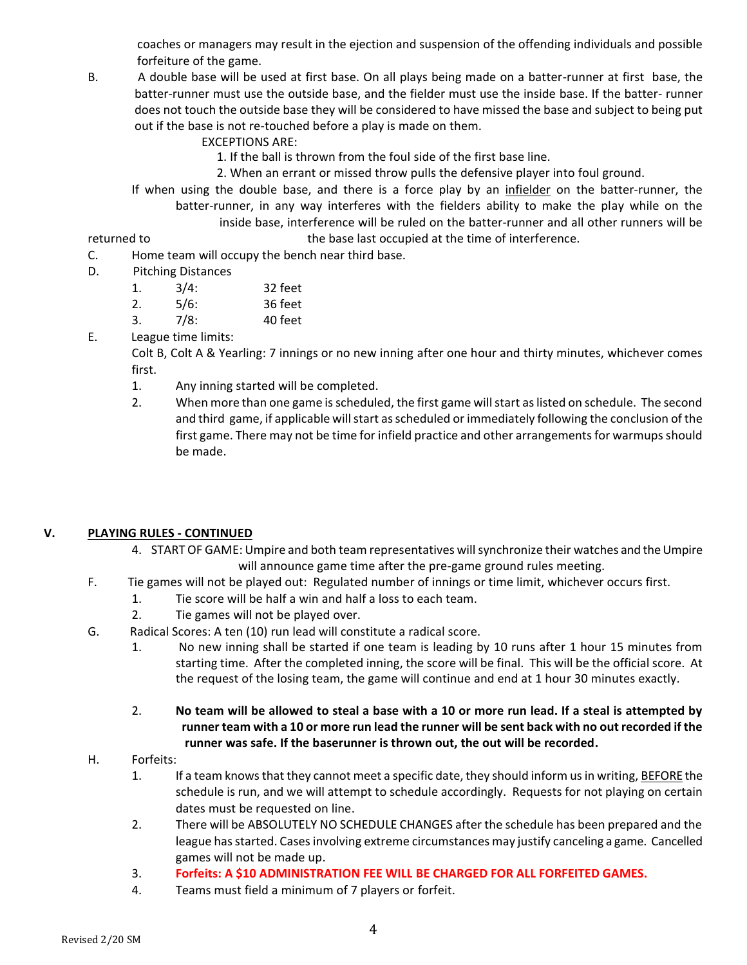coaches or managers may result in the ejection and suspension of the offending individuals and possible forfeiture of the game.

- B. A double base will be used at first base. On all plays being made on a batter-runner at first base, the batter-runner must use the outside base, and the fielder must use the inside base. If the batter- runner does not touch the outside base they will be considered to have missed the base and subject to being put out if the base is not re-touched before a play is made on them.
	- EXCEPTIONS ARE:
		- 1. If the ball is thrown from the foul side of the first base line.
	- 2. When an errant or missed throw pulls the defensive player into foul ground.
	- If when using the double base, and there is a force play by an infielder on the batter-runner, the batter-runner, in any way interferes with the fielders ability to make the play while on the inside base, interference will be ruled on the batter-runner and all other runners will be

returned to the base last occupied at the time of interference.

- C. Home team will occupy the bench near third base.
- D. Pitching Distances

| 1. | 3/4: | 32 feet |
|----|------|---------|
| 2. | 5/6: | 36 feet |
| 3. | 7/8: | 40 feet |

E. League time limits:

Colt B, Colt A & Yearling: 7 innings or no new inning after one hour and thirty minutes, whichever comes first.

- 1. Any inning started will be completed.
- 2. When more than one game is scheduled, the first game will start as listed on schedule. The second and third game, if applicable will start as scheduled or immediately following the conclusion of the first game. There may not be time for infield practice and other arrangements for warmups should be made.

# **V. PLAYING RULES - CONTINUED**

- 4. START OF GAME: Umpire and both team representatives will synchronize their watches and the Umpire will announce game time after the pre-game ground rules meeting.
- F. Tie games will not be played out: Regulated number of innings or time limit, whichever occurs first.
	- 1. Tie score will be half a win and half a loss to each team.
		- 2. Tie games will not be played over.
- G. Radical Scores: A ten (10) run lead will constitute a radical score.
	- 1. No new inning shall be started if one team is leading by 10 runs after 1 hour 15 minutes from starting time. After the completed inning, the score will be final. This will be the official score. At the request of the losing team, the game will continue and end at 1 hour 30 minutes exactly.
	- 2. **No team will be allowed to steal a base with a 10 or more run lead. If a steal is attempted by runner team with a 10 or more run lead the runner will be sent back with no out recorded if the runner was safe. If the baserunner is thrown out, the out will be recorded.**
- H. Forfeits:
	- 1. If a team knows that they cannot meet a specific date, they should inform us in writing, BEFORE the schedule is run, and we will attempt to schedule accordingly. Requests for not playing on certain dates must be requested on line.
	- 2. There will be ABSOLUTELY NO SCHEDULE CHANGES after the schedule has been prepared and the league has started. Cases involving extreme circumstances may justify canceling a game. Cancelled games will not be made up.
	- 3. **Forfeits: A \$10 ADMINISTRATION FEE WILL BE CHARGED FOR ALL FORFEITED GAMES.**
	- 4. Teams must field a minimum of 7 players or forfeit.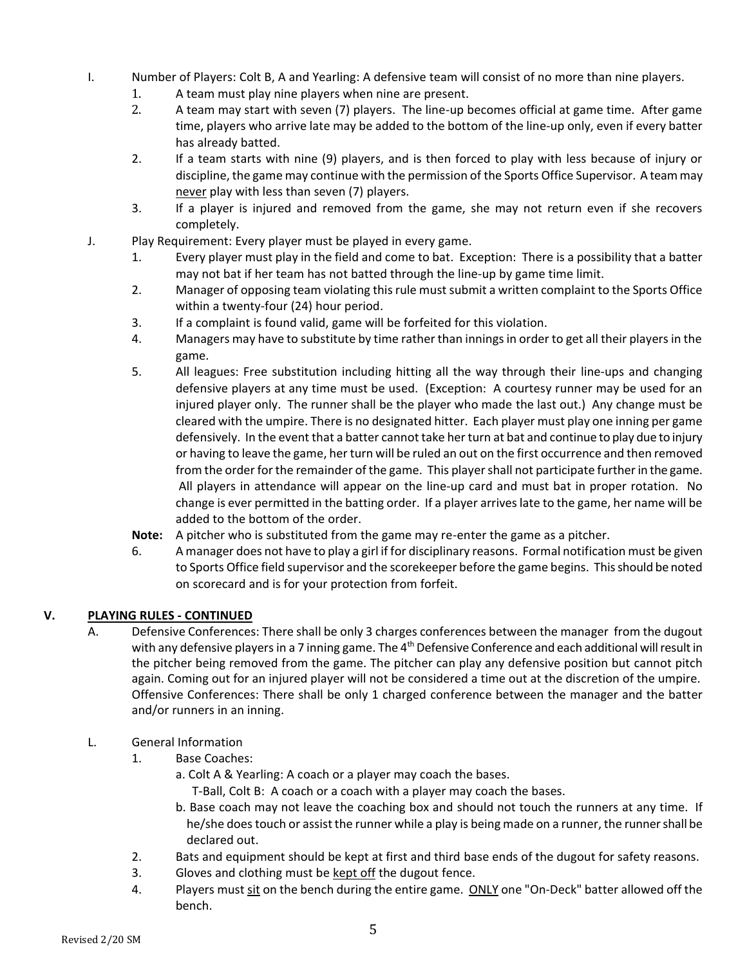- I. Number of Players: Colt B, A and Yearling: A defensive team will consist of no more than nine players.
	- 1. A team must play nine players when nine are present.
	- 2. A team may start with seven (7) players. The line-up becomes official at game time. After game time, players who arrive late may be added to the bottom of the line-up only, even if every batter has already batted.
	- 2. If a team starts with nine (9) players, and is then forced to play with less because of injury or discipline, the game may continue with the permission of the Sports Office Supervisor. A team may never play with less than seven (7) players.
	- 3. If a player is injured and removed from the game, she may not return even if she recovers completely.
- J. Play Requirement: Every player must be played in every game.
	- 1. Every player must play in the field and come to bat. Exception: There is a possibility that a batter may not bat if her team has not batted through the line-up by game time limit.
	- 2. Manager of opposing team violating this rule must submit a written complaint to the Sports Office within a twenty-four (24) hour period.
	- 3. If a complaint is found valid, game will be forfeited for this violation.
	- 4. Managers may have to substitute by time rather than innings in order to get all their players in the game.
	- 5. All leagues: Free substitution including hitting all the way through their line-ups and changing defensive players at any time must be used. (Exception: A courtesy runner may be used for an injured player only. The runner shall be the player who made the last out.) Any change must be cleared with the umpire. There is no designated hitter. Each player must play one inning per game defensively. In the event that a batter cannot take her turn at bat and continue to play due to injury or having to leave the game, her turn will be ruled an out on the first occurrence and then removed from the order for the remainder of the game. This player shall not participate further in the game. All players in attendance will appear on the line-up card and must bat in proper rotation. No change is ever permitted in the batting order. If a player arrives late to the game, her name will be added to the bottom of the order.
	- **Note:** A pitcher who is substituted from the game may re-enter the game as a pitcher.
	- 6. A manager does not have to play a girl if for disciplinary reasons. Formal notification must be given to Sports Office field supervisor and the scorekeeper before the game begins. This should be noted on scorecard and is for your protection from forfeit.

# **V. PLAYING RULES - CONTINUED**

- A. Defensive Conferences: There shall be only 3 charges conferences between the manager from the dugout with any defensive players in a 7 inning game. The  $4<sup>th</sup>$  Defensive Conference and each additional will result in the pitcher being removed from the game. The pitcher can play any defensive position but cannot pitch again. Coming out for an injured player will not be considered a time out at the discretion of the umpire. Offensive Conferences: There shall be only 1 charged conference between the manager and the batter and/or runners in an inning.
- L. General Information
	- 1. Base Coaches:
		- a. Colt A & Yearling: A coach or a player may coach the bases.

T-Ball, Colt B: A coach or a coach with a player may coach the bases.

- b. Base coach may not leave the coaching box and should not touch the runners at any time. If he/she does touch or assist the runner while a play is being made on a runner, the runner shall be declared out.
- 2. Bats and equipment should be kept at first and third base ends of the dugout for safety reasons.
- 3. Gloves and clothing must be kept off the dugout fence.
- 4. Players must sit on the bench during the entire game. ONLY one "On-Deck" batter allowed off the bench.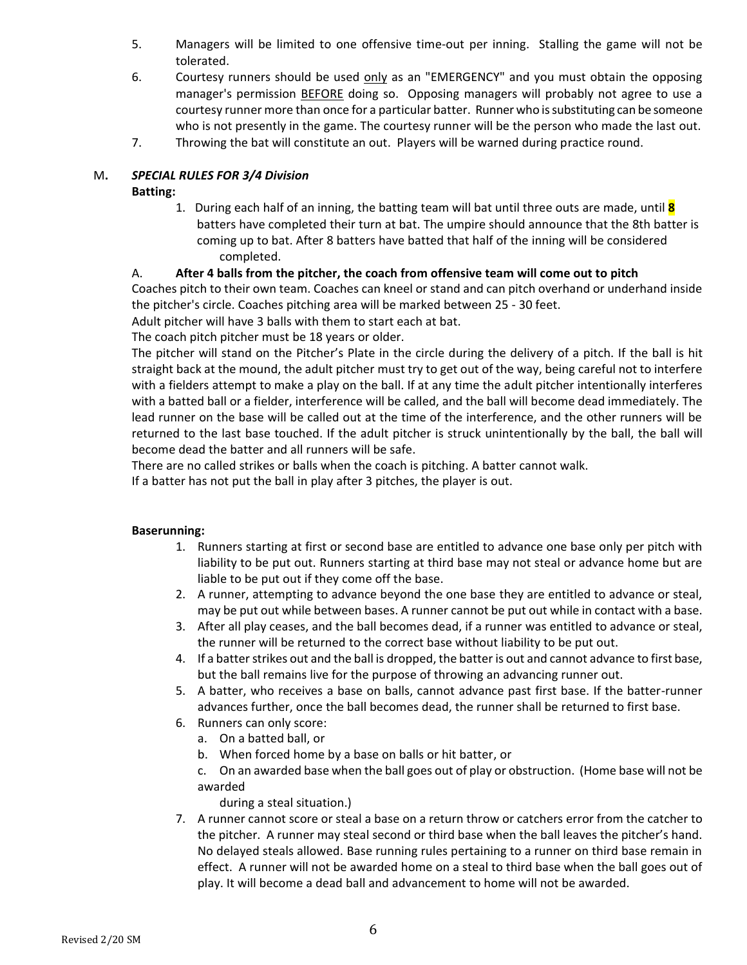- 5. Managers will be limited to one offensive time-out per inning. Stalling the game will not be tolerated.
- 6. Courtesy runners should be used only as an "EMERGENCY" and you must obtain the opposing manager's permission BEFORE doing so. Opposing managers will probably not agree to use a courtesy runner more than once for a particular batter. Runner who is substituting can be someone who is not presently in the game. The courtesy runner will be the person who made the last out.
- 7. Throwing the bat will constitute an out. Players will be warned during practice round.

### M**.** *SPECIAL RULES FOR 3/4 Division*

#### **Batting:**

1. During each half of an inning, the batting team will bat until three outs are made, until **8** batters have completed their turn at bat. The umpire should announce that the 8th batter is coming up to bat. After 8 batters have batted that half of the inning will be considered completed.

#### A. **After 4 balls from the pitcher, the coach from offensive team will come out to pitch**

Coaches pitch to their own team. Coaches can kneel or stand and can pitch overhand or underhand inside the pitcher's circle. Coaches pitching area will be marked between 25 - 30 feet.

Adult pitcher will have 3 balls with them to start each at bat.

The coach pitch pitcher must be 18 years or older.

The pitcher will stand on the Pitcher's Plate in the circle during the delivery of a pitch. If the ball is hit straight back at the mound, the adult pitcher must try to get out of the way, being careful not to interfere with a fielders attempt to make a play on the ball. If at any time the adult pitcher intentionally interferes with a batted ball or a fielder, interference will be called, and the ball will become dead immediately. The lead runner on the base will be called out at the time of the interference, and the other runners will be returned to the last base touched. If the adult pitcher is struck unintentionally by the ball, the ball will become dead the batter and all runners will be safe.

There are no called strikes or balls when the coach is pitching. A batter cannot walk.

If a batter has not put the ball in play after 3 pitches, the player is out.

#### **Baserunning:**

- 1. Runners starting at first or second base are entitled to advance one base only per pitch with liability to be put out. Runners starting at third base may not steal or advance home but are liable to be put out if they come off the base.
- 2. A runner, attempting to advance beyond the one base they are entitled to advance or steal, may be put out while between bases. A runner cannot be put out while in contact with a base.
- 3. After all play ceases, and the ball becomes dead, if a runner was entitled to advance or steal, the runner will be returned to the correct base without liability to be put out.
- 4. If a batter strikes out and the ball is dropped, the batter is out and cannot advance to first base, but the ball remains live for the purpose of throwing an advancing runner out.
- 5. A batter, who receives a base on balls, cannot advance past first base. If the batter-runner advances further, once the ball becomes dead, the runner shall be returned to first base.
- 6. Runners can only score:
	- a. On a batted ball, or
	- b. When forced home by a base on balls or hit batter, or
	- c. On an awarded base when the ball goes out of play or obstruction. (Home base will not be awarded
		- during a steal situation.)
- 7. A runner cannot score or steal a base on a return throw or catchers error from the catcher to the pitcher. A runner may steal second or third base when the ball leaves the pitcher's hand. No delayed steals allowed. Base running rules pertaining to a runner on third base remain in effect. A runner will not be awarded home on a steal to third base when the ball goes out of play. It will become a dead ball and advancement to home will not be awarded.